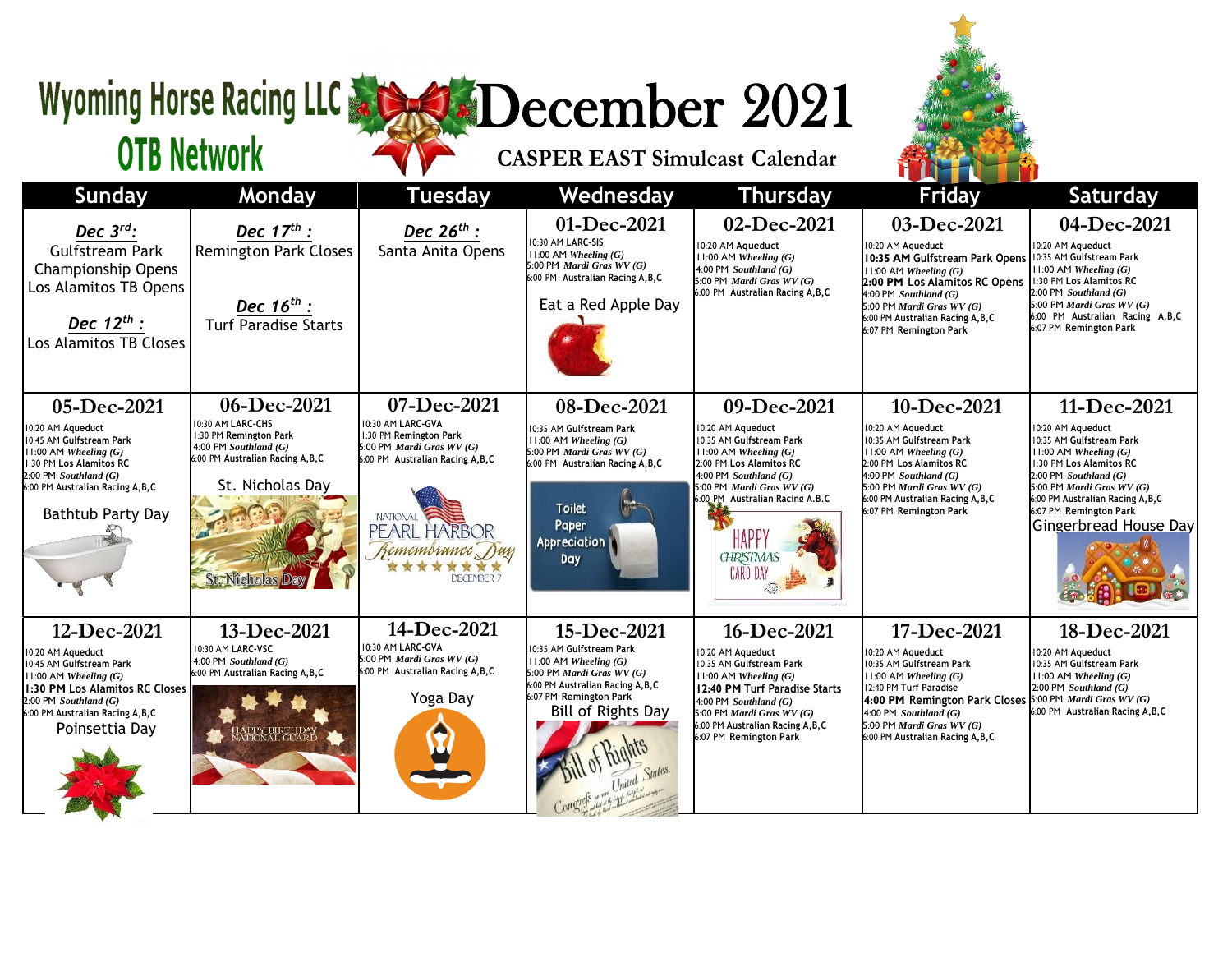## Wyoming Horse Racing LLC & SCORE December 2021

**CASPER EAST Simulcast Calendar**



## **OTB Network**

| Sunday                                                                                                                                                                                                          | Monday                                                                                                                                                                   | <b>Tuesday</b>                                                                                                                                                                                    | Wednesday                                                                                                                                                                                        | <b>Thursday</b>                                                                                                                                                                                                                                                     | <b>Friday</b>                                                                                                                                                                                                                                                                     | <b>Saturday</b>                                                                                                                                                                                                                                                             |
|-----------------------------------------------------------------------------------------------------------------------------------------------------------------------------------------------------------------|--------------------------------------------------------------------------------------------------------------------------------------------------------------------------|---------------------------------------------------------------------------------------------------------------------------------------------------------------------------------------------------|--------------------------------------------------------------------------------------------------------------------------------------------------------------------------------------------------|---------------------------------------------------------------------------------------------------------------------------------------------------------------------------------------------------------------------------------------------------------------------|-----------------------------------------------------------------------------------------------------------------------------------------------------------------------------------------------------------------------------------------------------------------------------------|-----------------------------------------------------------------------------------------------------------------------------------------------------------------------------------------------------------------------------------------------------------------------------|
| Dec $3^{rd}$ :<br>Gulfstream Park<br><b>Championship Opens</b><br>Los Alamitos TB Opens<br>Dec $12^{th}$ :<br>Los Alamitos TB Closes                                                                            | Dec $17^{th}$ :<br><b>Remington Park Closes</b><br><b>Dec 16<sup>th</sup> :</b><br>Turf Paradise Starts                                                                  | <b>Dec 26<sup>th</sup> :</b><br>Santa Anita Opens                                                                                                                                                 | 01-Dec-2021<br>10:30 AM LARC-SIS<br>$11:00$ AM Wheeling $(G)$<br>5:00 PM Mardi Gras WV (G)<br>6:00 PM Australian Racing A, B, C<br>Eat a Red Apple Day                                           | 02-Dec-2021<br>10:20 AM Aqueduct<br>$11:00$ AM Wheeling $(G)$<br>$4:00$ PM Southland $(G)$<br>5:00 PM Mardi Gras WV (G)<br>6:00 PM Australian Racing A, B, C                                                                                                        | 03-Dec-2021<br>10:20 AM Aqueduct<br>10:35 AM Gulfstream Park Opens   10:35 AM Gulfstream Park<br>$11:00$ AM Wheeling $(G)$<br>2:00 PM Los Alamitos RC Opens<br>4:00 PM Southland (G)<br>5:00 PM Mardi Gras $WV(G)$<br>6:00 PM Australian Racing A, B, C<br>6:07 PM Remington Park | 04-Dec-2021<br>10:20 AM Aqueduct<br>11:00 AM Wheeling (G)<br>1:30 PM Los Alamitos RC<br>$2:00$ PM Southland $(G)$<br>5:00 PM Mardi Gras $WV(G)$<br>6:00 PM Australian Racing A,B,C<br>6:07 PM Remington Park                                                                |
| 05-Dec-2021<br>10:20 AM Aqueduct<br>10:45 AM Gulfstream Park<br>$11:00$ AM Wheeling $(G)$<br>1:30 PM Los Alamitos RC<br>$2:00$ PM Southland $(G)$<br>6:00 PM Australian Racing A, B, C<br>Bathtub Party Day     | 06-Dec-2021<br>10:30 AM LARC-CHS<br>1:30 PM Remington Park<br>4:00 PM Southland $(G)$<br>6:00 PM Australian Racing A, B, C<br>St. Nicholas Day<br><b>St. Nicholas Da</b> | 07-Dec-2021<br>10:30 AM LARC-GVA<br>1:30 PM Remington Park<br>5:00 PM Mardi Gras $WV(G)$<br>6:00 PM Australian Racing A, B, C<br><b>NATIONAL</b><br>PEARL HARBOR<br>Remembrance Day<br>DECEMBER 7 | 08-Dec-2021<br>10:35 AM Gulfstream Park<br>$11:00$ AM Wheeling $(G)$<br>5:00 PM <i>Mardi Gras WV</i> $(G)$<br>6:00 PM Australian Racing A, B, C<br><b>Toilet</b><br>Paper<br>Appreciation<br>Day | 09-Dec-2021<br>10:20 AM Aqueduct<br>10:35 AM Gulfstream Park<br>$11:00$ AM Wheeling $(G)$<br>2:00 PM Los Alamitos RC<br>4:00 PM Southland (G)<br>5:00 PM Mardi Gras WV (G)<br>6:00 PM Australian Racing A.B.C<br><b>HAPP</b><br><b>CHRISTMAS</b><br><b>CARD DAY</b> | 10-Dec-2021<br>10:20 AM Aqueduct<br>10:35 AM Gulfstream Park<br>$11:00$ AM Wheeling $(G)$<br>2:00 PM Los Alamitos RC<br>$4:00$ PM Southland $(G)$<br>5:00 PM Mardi Gras $WV(G)$<br>6:00 PM Australian Racing A, B, C<br>6:07 PM Remington Park                                    | 11-Dec-2021<br>10:20 AM Aqueduct<br>10:35 AM Gulfstream Park<br>$\parallel$ 11:00 AM Wheeling (G)<br>1:30 PM Los Alamitos RC<br>$2:00$ PM Southland (G)<br>5:00 PM Mardi Gras $WV(G)$<br>6:00 PM Australian Racing A.B.C<br>6:07 PM Remington Park<br>Gingerbread House Day |
| 12-Dec-2021<br>10:20 AM Aqueduct<br>10:45 AM Gulfstream Park<br>$11:00$ AM Wheeling $(G)$<br>1:30 PM Los Alamitos RC Closes<br>$2:00$ PM Southland $(G)$<br>6:00 PM Australian Racing A, B, C<br>Poinsettia Day | 13-Dec-2021<br>10:30 AM LARC-VSC<br>4:00 PM Southland $(G)$<br>6:00 PM Australian Racing A, B, C<br>APPY BIRTHDAY<br>ATIONAL GUARD                                       | 14-Dec-2021<br>10:30 AM LARC-GVA<br>5:00 PM Mardi Gras $WV(G)$<br>6:00 PM Australian Racing A, B, C<br>Yoga Day                                                                                   | 15-Dec-2021<br>10:35 AM Gulfstream Park<br>$11:00$ AM Wheeling $(G)$<br>5:00 PM Mardi Gras WV (G)<br>6:00 PM Australian Racing A, B, C<br>6:07 PM Remington Park<br><b>Bill of Rights Day</b>    | 16-Dec-2021<br>10:20 AM Aqueduct<br>10:35 AM Gulfstream Park<br>$11:00$ AM Wheeling $(G)$<br>12:40 PM Turf Paradise Starts<br>$4:00$ PM Southland $(G)$<br>5:00 PM Mardi Gras WV (G)<br>6:00 PM Australian Racing A, B, C<br>6:07 PM Remington Park                 | 17-Dec-2021<br>10:20 AM Aqueduct<br>10:35 AM Gulfstream Park<br>11:00 AM Wheeling (G)<br>12:40 PM Turf Paradise<br>4:00 PM Remington Park Closes 5:00 PM Mardi Gras $WV(G)$<br>4:00 PM Southland $(G)$<br>5:00 PM Mardi Gras $WV(G)$<br>6:00 PM Australian Racing A, B, C         | 18-Dec-2021<br>10:20 AM Aqueduct<br>10:35 AM Gulfstream Park<br>$ 11:00$ AM Wheeling (G)<br>$2:00$ PM Southland $(G)$<br>6:00 PM Australian Racing A, B, C                                                                                                                  |